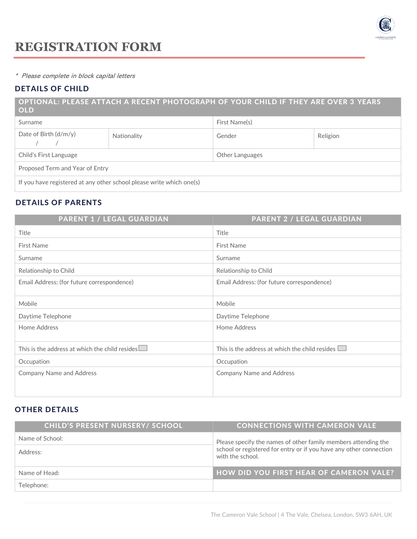

\* Please complete in block capital letters

## DETAILS OF CHILD

### OPTIONAL: PLEASE ATTACH A RECENT PHOTOGRAPH OF YOUR CHILD IF THEY ARE OVER 3 YEARS OLD

| Surname                                                              |             | First Name(s)   |          |  |
|----------------------------------------------------------------------|-------------|-----------------|----------|--|
| Date of Birth $(d/m/y)$                                              | Nationality | Gender          | Religion |  |
| Child's First Language                                               |             | Other Languages |          |  |
| Proposed Term and Year of Entry                                      |             |                 |          |  |
| If you have registered at any other school please write which one(s) |             |                 |          |  |

# DETAILS OF PARENTS

| <b>PARENT 1 / LEGAL GUARDIAN</b>                      | <b>PARENT 2 / LEGAL GUARDIAN</b>                      |
|-------------------------------------------------------|-------------------------------------------------------|
| Title                                                 | Title                                                 |
| <b>First Name</b>                                     | <b>First Name</b>                                     |
| Surname                                               | Surname                                               |
| Relationship to Child                                 | Relationship to Child                                 |
| Email Address: (for future correspondence)            | Email Address: (for future correspondence)            |
| Mobile                                                | Mobile                                                |
| Daytime Telephone                                     | Daytime Telephone                                     |
| Home Address                                          | Home Address                                          |
| This is the address at which the child resides $\Box$ | This is the address at which the child resides $\Box$ |
| Occupation                                            | Occupation                                            |
| <b>Company Name and Address</b>                       | <b>Company Name and Address</b>                       |

# OTHER DETAILS

| <b>CHILD'S PRESENT NURSERY/ SCHOOL</b> | <b>CONNECTIONS WITH CAMERON VALE</b>                                                                                                                     |  |
|----------------------------------------|----------------------------------------------------------------------------------------------------------------------------------------------------------|--|
| Name of School:                        | Please specify the names of other family members attending the<br>school or registered for entry or if you have any other connection<br>with the school. |  |
| Address:                               |                                                                                                                                                          |  |
| Name of Head:                          | <b>HOW DID YOU FIRST HEAR OF CAMERON VALE?</b>                                                                                                           |  |
| Telephone:                             |                                                                                                                                                          |  |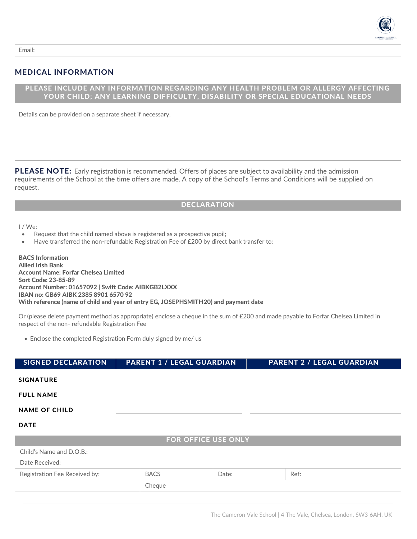

Email:

## MEDICAL INFORMATION

### PLEASE INCLUDE ANY INFORMATION REGARDING ANY HEALTH PROBLEM OR ALLERGY AFFECTING YOUR CHILD; ANY LEARNING DIFFICULTY, DISABILITY OR SPECIAL EDUCATIONAL NEEDS

Details can be provided on a separate sheet if necessary.

PLEASE NOTE: Early registration is recommended. Offers of places are subject to availability and the admission requirements of the School at the time offers are made. A copy of the School's Terms and Conditions will be supplied on request.

### DECLARATION

I / We:

- Request that the child named above is registered as a prospective pupil;
- Have transferred the non-refundable Registration Fee of £200 by direct bank transfer to:

BACS Information Allied Irish Bank Account Name: Forfar Chelsea Limited Sort Code: 23-85-89 Account Number: 01657092 | Swift Code: AIBKGB2LXXX IBAN no: GB69 AIBK 2385 8901 6570 92 With reference (name of child and year of entry EG, JOSEPHSMITH20) and payment date

Or (please delete payment method as appropriate) enclose a cheque in the sum of £200 and made payable to Forfar Chelsea Limited in respect of the non- refundable Registration Fee

• Enclose the completed Registration Form duly signed by me/ us

| <b>SIGNED DECLARATION</b> | <b>PARENT 1 / LEGAL GUARDIAN</b> | <b>PARENT 2 / LEGAL GUARDIAN</b> |
|---------------------------|----------------------------------|----------------------------------|
| <b>SIGNATURE</b>          |                                  |                                  |
| <b>FULL NAME</b>          |                                  |                                  |
| <b>NAME OF CHILD</b>      |                                  |                                  |
|                           |                                  |                                  |

DATE

| <b>FOR OFFICE USE ONLY</b>    |             |       |      |  |
|-------------------------------|-------------|-------|------|--|
| Child's Name and D.O.B.:      |             |       |      |  |
| Date Received:                |             |       |      |  |
| Registration Fee Received by: | <b>BACS</b> | Date: | Ref: |  |
|                               | Cheaue      |       |      |  |